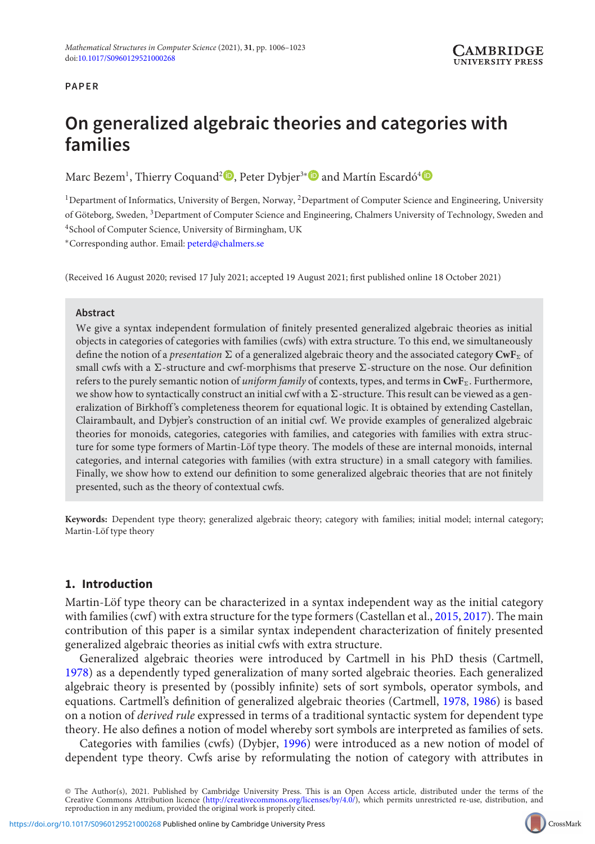## **PAPER**

# **On generalized algebraic theories and categories with families**

Marc Bezem<sup>1</sup>[,](https://orcid.org/0000-0002-5429-5153) Thierry Coquand<sup>2</sup> D, Peter Dybjer<sup>3[∗](https://orcid.org/0000-0003-4043-5204)</sup> D and Martín Escardó<sup>[4](https://orcid.org/0000-0002-4091-6334)</sup>

<sup>1</sup>Department of Informatics, University of Bergen, Norway, <sup>2</sup>Department of Computer Science and Engineering, University of Göteborg, Sweden, 3Department of Computer Science and Engineering, Chalmers University of Technology, Sweden and 4School of Computer Science, University of Birmingham, UK

∗Corresponding author. Email: [peterd@chalmers.se](mailto:peterd@chalmers.se)

(Received 16 August 2020; revised 17 July 2021; accepted 19 August 2021; first published online 18 October 2021)

#### **Abstract**

We give a syntax independent formulation of finitely presented generalized algebraic theories as initial objects in categories of categories with families (cwfs) with extra structure. To this end, we simultaneously define the notion of a *presentation*  $\Sigma$  of a generalized algebraic theory and the associated category  $\text{CwF}_\Sigma$  of small cwfs with a  $\Sigma$ -structure and cwf-morphisms that preserve  $\Sigma$ -structure on the nose. Our definition refers to the purely semantic notion of *uniform family* of contexts, types, and terms in **CwF**-. Furthermore, we show how to syntactically construct an initial cwf with a  $\Sigma$ -structure. This result can be viewed as a generalization of Birkhoff 's completeness theorem for equational logic. It is obtained by extending Castellan, Clairambault, and Dybjer's construction of an initial cwf. We provide examples of generalized algebraic theories for monoids, categories, categories with families, and categories with families with extra structure for some type formers of Martin-Löf type theory. The models of these are internal monoids, internal categories, and internal categories with families (with extra structure) in a small category with families. Finally, we show how to extend our definition to some generalized algebraic theories that are not finitely presented, such as the theory of contextual cwfs.

**Keywords:** Dependent type theory; generalized algebraic theory; category with families; initial model; internal category; Martin-Löf type theory

## **1. Introduction**

Martin-Löf type theory can be characterized in a syntax independent way as the initial category with families (cwf) with extra structure for the type formers (Castellan et al., [2015](#page-16-0), [2017](#page-16-1)). The main contribution of this paper is a similar syntax independent characterization of finitely presented generalized algebraic theories as initial cwfs with extra structure.

Generalized algebraic theories were introduced by Cartmell in his PhD thesis (Cartmell, [1978\)](#page-16-2) as a dependently typed generalization of many sorted algebraic theories. Each generalized algebraic theory is presented by (possibly infinite) sets of sort symbols, operator symbols, and equations. Cartmell's definition of generalized algebraic theories (Cartmell, [1978,](#page-16-2) [1986\)](#page-16-3) is based on a notion of *derived rule* expressed in terms of a traditional syntactic system for dependent type theory. He also defines a notion of model whereby sort symbols are interpreted as families of sets.

Categories with families (cwfs) (Dybjer, [1996](#page-16-4)) were introduced as a new notion of model of dependent type theory. Cwfs arise by reformulating the notion of category with attributes in



<sup>©</sup> The Author(s), 2021. Published by Cambridge University Press. This is an Open Access article, distributed under the terms of the<br>Creative Commons Attribution licence [\(http://creativecommons.org/licenses/by/4.0/\)](http://creativecommons.org/licenses/by/4.0/), which p reproduction in any medium, provided the original work is properly cited.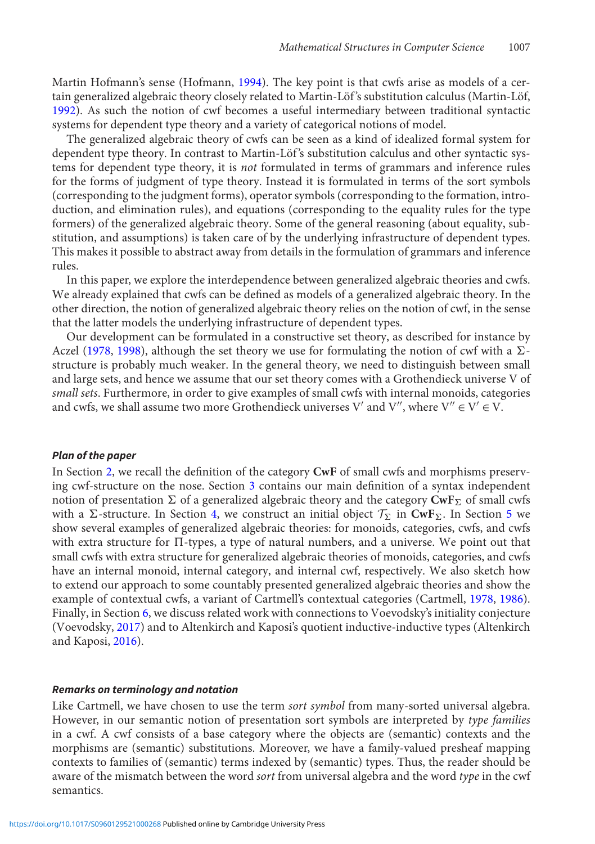Martin Hofmann's sense (Hofmann, [1994](#page-16-5)). The key point is that cwfs arise as models of a certain generalized algebraic theory closely related to Martin-Löf 's substitution calculus (Martin-Löf, [1992\)](#page-16-6). As such the notion of cwf becomes a useful intermediary between traditional syntactic systems for dependent type theory and a variety of categorical notions of model.

The generalized algebraic theory of cwfs can be seen as a kind of idealized formal system for dependent type theory. In contrast to Martin-Löf 's substitution calculus and other syntactic systems for dependent type theory, it is *not* formulated in terms of grammars and inference rules for the forms of judgment of type theory. Instead it is formulated in terms of the sort symbols (corresponding to the judgment forms), operator symbols (corresponding to the formation, introduction, and elimination rules), and equations (corresponding to the equality rules for the type formers) of the generalized algebraic theory. Some of the general reasoning (about equality, substitution, and assumptions) is taken care of by the underlying infrastructure of dependent types. This makes it possible to abstract away from details in the formulation of grammars and inference rules.

In this paper, we explore the interdependence between generalized algebraic theories and cwfs. We already explained that cwfs can be defined as models of a generalized algebraic theory. In the other direction, the notion of generalized algebraic theory relies on the notion of cwf, in the sense that the latter models the underlying infrastructure of dependent types.

Our development can be formulated in a constructive set theory, as described for instance by Aczel [\(1978,](#page-16-7) [1998\)](#page-16-8), although the set theory we use for formulating the notion of cwf with a  $\Sigma$ structure is probably much weaker. In the general theory, we need to distinguish between small and large sets, and hence we assume that our set theory comes with a Grothendieck universe V of *small sets*. Furthermore, in order to give examples of small cwfs with internal monoids, categories and cwfs, we shall assume two more Grothendieck universes V' and V", where  $V'' \in V' \in V$ .

#### *Plan of the paper*

In Section [2,](#page-2-0) we recall the definition of the category **CwF** of small cwfs and morphisms preserving cwf-structure on the nose. Section [3](#page-4-0) contains our main definition of a syntax independent notion of presentation  $\Sigma$  of a generalized algebraic theory and the category  $\pmb{\text{CwF}}_\Sigma$  of small cwfs with a  $\Sigma$ -structure. In Section [4,](#page-6-0) we construct an initial object  $\mathcal{T}_{\Sigma}$  in **CwF**<sub> $\Sigma$ </sub>. In Section [5](#page-8-0) we show several examples of generalized algebraic theories: for monoids, categories, cwfs, and cwfs with extra structure for  $\Pi$ -types, a type of natural numbers, and a universe. We point out that small cwfs with extra structure for generalized algebraic theories of monoids, categories, and cwfs have an internal monoid, internal category, and internal cwf, respectively. We also sketch how to extend our approach to some countably presented generalized algebraic theories and show the example of contextual cwfs, a variant of Cartmell's contextual categories (Cartmell, [1978](#page-16-2), [1986](#page-16-3)). Finally, in Section [6,](#page-15-0) we discuss related work with connections to Voevodsky's initiality conjecture (Voevodsky, [2017](#page-17-0)) and to Altenkirch and Kaposi's quotient inductive-inductive types (Altenkirch and Kaposi, [2016\)](#page-16-9).

#### *Remarks on terminology and notation*

Like Cartmell, we have chosen to use the term *sort symbol* from many-sorted universal algebra. However, in our semantic notion of presentation sort symbols are interpreted by *type families* in a cwf. A cwf consists of a base category where the objects are (semantic) contexts and the morphisms are (semantic) substitutions. Moreover, we have a family-valued presheaf mapping contexts to families of (semantic) terms indexed by (semantic) types. Thus, the reader should be aware of the mismatch between the word *sort* from universal algebra and the word *type* in the cwf semantics.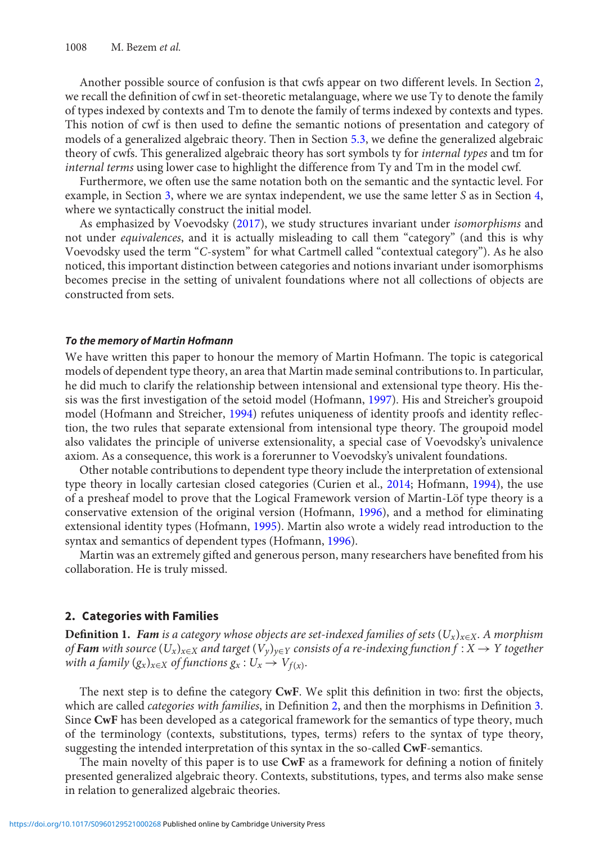Another possible source of confusion is that cwfs appear on two different levels. In Section [2,](#page-2-0) we recall the definition of cwf in set-theoretic metalanguage, where we use Ty to denote the family of types indexed by contexts and Tm to denote the family of terms indexed by contexts and types. This notion of cwf is then used to define the semantic notions of presentation and category of models of a generalized algebraic theory. Then in Section [5.3,](#page-11-0) we define the generalized algebraic theory of cwfs. This generalized algebraic theory has sort symbols ty for *internal types* and tm for *internal terms* using lower case to highlight the difference from Ty and Tm in the model cwf.

Furthermore, we often use the same notation both on the semantic and the syntactic level. For example, in Section [3,](#page-4-0) where we are syntax independent, we use the same letter *S* as in Section [4,](#page-6-0) where we syntactically construct the initial model.

As emphasized by Voevodsky [\(2017\)](#page-17-0), we study structures invariant under *isomorphisms* and not under *equivalences*, and it is actually misleading to call them "category" (and this is why Voevodsky used the term "*C*-system" for what Cartmell called "contextual category"). As he also noticed, this important distinction between categories and notions invariant under isomorphisms becomes precise in the setting of univalent foundations where not all collections of objects are constructed from sets.

#### *To the memory of Martin Hofmann*

We have written this paper to honour the memory of Martin Hofmann. The topic is categorical models of dependent type theory, an area that Martin made seminal contributions to. In particular, he did much to clarify the relationship between intensional and extensional type theory. His thesis was the first investigation of the setoid model (Hofmann, [1997\)](#page-16-10). His and Streicher's groupoid model (Hofmann and Streicher, [1994\)](#page-16-11) refutes uniqueness of identity proofs and identity reflection, the two rules that separate extensional from intensional type theory. The groupoid model also validates the principle of universe extensionality, a special case of Voevodsky's univalence axiom. As a consequence, this work is a forerunner to Voevodsky's univalent foundations.

Other notable contributions to dependent type theory include the interpretation of extensional type theory in locally cartesian closed categories (Curien et al., [2014;](#page-16-12) Hofmann, [1994\)](#page-16-5), the use of a presheaf model to prove that the Logical Framework version of Martin-Löf type theory is a conservative extension of the original version (Hofmann, [1996](#page-16-13)), and a method for eliminating extensional identity types (Hofmann, [1995\)](#page-16-14). Martin also wrote a widely read introduction to the syntax and semantics of dependent types (Hofmann, [1996](#page-16-13)).

Martin was an extremely gifted and generous person, many researchers have benefited from his collaboration. He is truly missed.

#### <span id="page-2-0"></span>**2. Categories with Families**

**Definition 1.** *Fam is a category whose objects are set-indexed families of sets* (*Ux*)*x*∈*X. A morphism of Fam* with source  $(U_x)_{x\in X}$  and target  $(V_y)_{y\in Y}$  consists of a re-indexing function  $f: X \to Y$  together *with a family*  $(g_x)_{x \in X}$  *of functions*  $g_x : U_x \to V_{f(x)}$ *.* 

The next step is to define the category **CwF**. We split this definition in two: first the objects, which are called *categories with families*, in Definition [2,](#page-3-0) and then the morphisms in Definition [3.](#page-3-1) Since **CwF** has been developed as a categorical framework for the semantics of type theory, much of the terminology (contexts, substitutions, types, terms) refers to the syntax of type theory, suggesting the intended interpretation of this syntax in the so-called **CwF**-semantics.

The main novelty of this paper is to use **CwF** as a framework for defining a notion of finitely presented generalized algebraic theory. Contexts, substitutions, types, and terms also make sense in relation to generalized algebraic theories.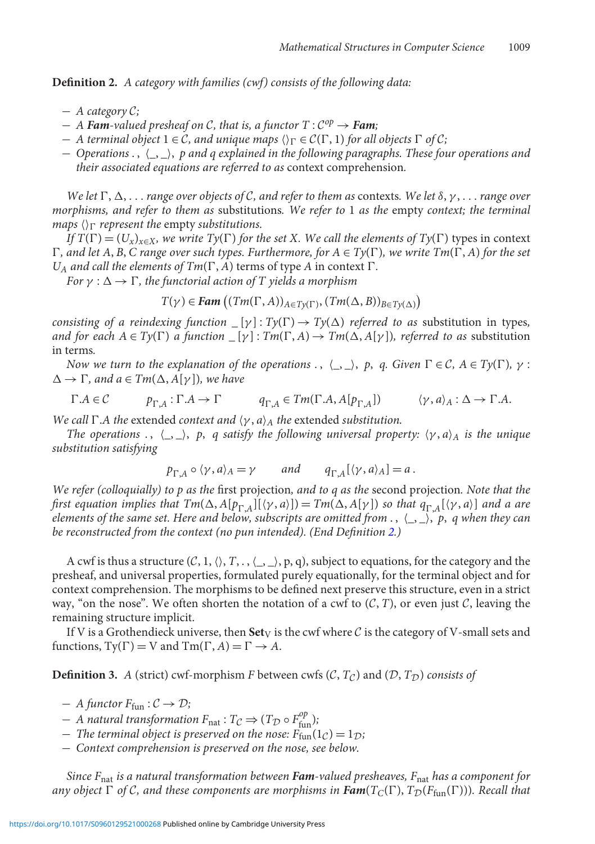<span id="page-3-0"></span>**Definition 2.** *A category with families (cwf) consists of the following data:*

- − *A category C;*
- $-$  *A* **Fam**-valued presheaf on C, that is, a functor  $T: C^{op} \rightarrow$  **Fam**;
- $-$  *A terminal object*  $1 \in C$ *, and unique maps*  $\langle \rangle_{\Gamma} \in C(\Gamma, 1)$  *for all objects*  $\Gamma$  *of*  $C$ *;*
- − *Operations* . , *\_*, *\_*, *p and q explained in the following paragraphs. These four operations and their associated equations are referred to as* context comprehension*.*

*We let*  $\Gamma$ ,  $\Delta$ , ... *range over objects of C*, *and refer to them as contexts. We let*  $\delta$ ,  $\gamma$ , ... *range over morphisms, and refer to them as* substitutions*. We refer to* 1 *as the* empty *context; the terminal maps*  $\langle \rangle_{\Gamma}$  *represent the empty substitutions.* 

*If*  $T(\Gamma) = (U_x)_{x \in X}$ , we write  $T\gamma(\Gamma)$  for the set X. We call the elements of  $T\gamma(\Gamma)$  types in context  $\Gamma$ *, and let A, B, C range over such types. Furthermore, for A* ∈  $T$ y( $\Gamma$ *), we write*  $Tm(\Gamma, A)$  *for the set*  $U_A$  *and call the elements of Tm*( $\Gamma$ , *A*) terms of type *A* in context  $\Gamma$ .

*For*  $\gamma : \Delta \to \Gamma$ , the functorial action of T yields a morphism

 $T(\gamma) \in \text{Fam} \left( (Tm(\Gamma, A))_{A \in Ty(\Gamma)}, (Tm(\Delta, B))_{B \in Ty(\Delta)} \right)$ 

*consisting of a reindexing function*  $[\gamma] : Ty(\Gamma) \to Ty(\Delta)$  *referred to as substitution in types, and for each*  $A \in Ty(\Gamma)$  *a function*  $[y] : Tm(\Gamma, A) \to Tm(\Delta, A[y])$ *, referred to as substitution* in terms*.*

*Now we turn to the explanation of the operations*  $\cdot$ ,  $\langle \_ \rangle$ , *p*, *q*. Given  $\Gamma \in \mathcal{C}$ ,  $A \in Ty(\Gamma)$ ,  $\gamma$ :  $\Delta \rightarrow \Gamma$ *, and a*  $\in Tm(\Delta, A[\gamma])$ *, we have* 

 $\Gamma.A \in \mathcal{C}$   $p_{\Gamma A} : \Gamma.A \to \Gamma$   $q_{\Gamma A} \in \text{Im}(\Gamma.A, A[p_{\Gamma A}])$   $\langle \gamma, a \rangle_A : \Delta \to \Gamma.A.$ 

*We call*  $\Gamma$ *.A the extended context and*  $\langle \gamma, a \rangle_A$  *the extended substitution.* 

*The operations* .,  $\langle \_ \rangle$ , *p*, *q satisfy the following universal property:*  $\langle \gamma, a \rangle$  *A is the unique substitution satisfying*

$$
p_{\Gamma,A} \circ \langle \gamma, a \rangle_A = \gamma \quad \text{and} \quad q_{\Gamma,A}[\langle \gamma, a \rangle_A] = a \, .
$$

*We refer (colloquially) to p as the* first projection*, and to q as the* second projection*. Note that the first equation implies that*  $Tm(\Delta, A[p_{\Gamma,A}](\gamma, a)) = Tm(\Delta, A[\gamma])$  *so that*  $q_{\Gamma,A}(\gamma, a)$  *and a are elements of the same set. Here and below, subscripts are omitted from* . , *\_*, *\_*, *p*, *q when they can be reconstructed from the context (no pun intended). (End Definition [2.](#page-3-0))*

A cwf is thus a structure  $(C, 1, \langle \rangle, T, \ldots, \langle \rangle, T)$ , p, q), subject to equations, for the category and the presheaf, and universal properties, formulated purely equationally, for the terminal object and for context comprehension. The morphisms to be defined next preserve this structure, even in a strict way, "on the nose". We often shorten the notation of a cwf to  $(C, T)$ , or even just C, leaving the remaining structure implicit.

If V is a Grothendieck universe, then  $Set_V$  is the cwf where C is the category of V-small sets and functions,  $Ty(\Gamma) = V$  and  $Tm(\Gamma, A) = \Gamma \rightarrow A$ .

<span id="page-3-1"></span>**Definition 3.** *A* (strict) cwf-morphism *F* between cwfs (*C*,  $T_C$ ) and (*D*,  $T_D$ ) *consists of* 

- $-$  *A functor*  $F_{\text{fun}}$  :  $C \rightarrow \mathcal{D}$ ;
- $-$  *A natural transformation*  $F_{\text{nat}}$  :  $T_{\mathcal{C}} \Rightarrow (T_{\mathcal{D}} \circ F_{\text{fun}}^{op})$ ;
- $-$  *The terminal object is preserved on the nose:*  $F_{\text{fun}}(1_C) = 1_D$ ;
- − *Context comprehension is preserved on the nose, see below.*

*Since F*nat *is a natural transformation between Fam-valued presheaves, F*nat *has a component for any object*  $\Gamma$  *of C, and these components are morphisms in Fam(* $T_C(\Gamma)$ *,*  $T_D(F_{\text{fun}}(\Gamma)))$ *). Recall that*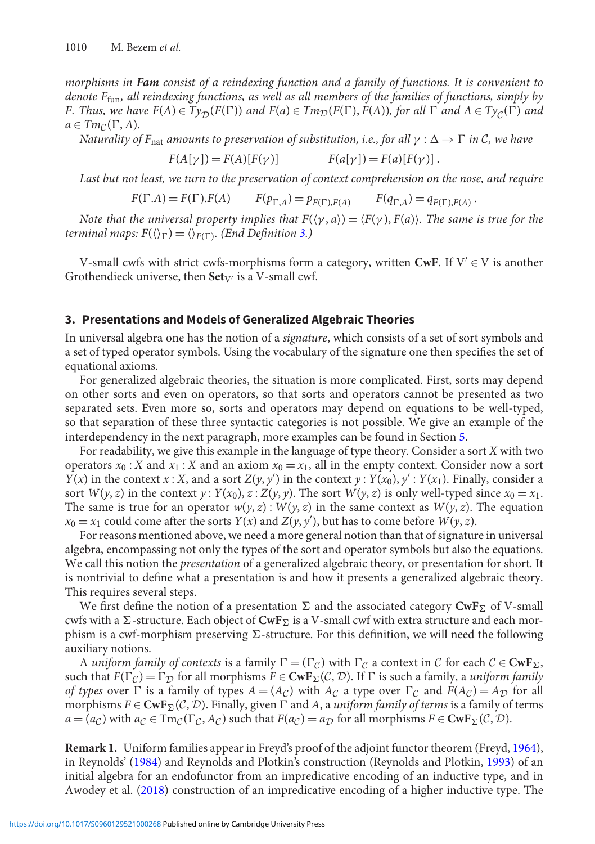*morphisms in Fam consist of a reindexing function and a family of functions. It is convenient to denote F*fun*, all reindexing functions, as well as all members of the families of functions, simply by F. Thus, we have*  $F(A) \in Ty_D(F(\Gamma))$  *and*  $F(a) \in Tm_D(F(\Gamma), F(A))$ *, for all*  $\Gamma$  *and*  $A \in Ty_C(\Gamma)$  *and*  $a \in Tm_{\mathcal{C}}(\Gamma, A)$ .

*Naturality of F<sub>nat</sub> amounts to preservation of substitution, i.e., for all*  $\gamma : \Delta \to \Gamma$  *in C, we have* 

$$
F(A[\gamma]) = F(A)[F(\gamma)] \qquad F(a[\gamma]) = F(a)[F(\gamma)].
$$

*Last but not least, we turn to the preservation of context comprehension on the nose, and require*

$$
F(\Gamma.A) = F(\Gamma).F(A) \qquad F(p_{\Gamma,A}) = p_{F(\Gamma).F(A)} \qquad F(q_{\Gamma,A}) = q_{F(\Gamma).F(A)}.
$$

*Note that the universal property implies that*  $F(\langle \gamma, a \rangle) = \langle F(\gamma), F(a) \rangle$ . The same is true for the *terminal maps:*  $F(\langle \rangle_{\Gamma}) = \langle \rangle_{F(\Gamma)}$ . *(End Definition [3.](#page-3-1))* 

V-small cwfs with strict cwfs-morphisms form a category, written **CwF**. If  $V' \in V$  is another Grothendieck universe, then Set<sub>V'</sub> is a V-small cwf.

### <span id="page-4-0"></span>**3. Presentations and Models of Generalized Algebraic Theories**

In universal algebra one has the notion of a *signature*, which consists of a set of sort symbols and a set of typed operator symbols. Using the vocabulary of the signature one then specifies the set of equational axioms.

For generalized algebraic theories, the situation is more complicated. First, sorts may depend on other sorts and even on operators, so that sorts and operators cannot be presented as two separated sets. Even more so, sorts and operators may depend on equations to be well-typed, so that separation of these three syntactic categories is not possible. We give an example of the interdependency in the next paragraph, more examples can be found in Section [5.](#page-8-0)

For readability, we give this example in the language of type theory. Consider a sort *X* with two operators  $x_0$ : *X* and  $x_1$ : *X* and an axiom  $x_0 = x_1$ , all in the empty context. Consider now a sort *Y*(*x*) in the context *x* : *X*, and a sort *Z*(*y*, *y*<sup> $\prime$ </sup>) in the context *y* : *Y*(*x*<sub>0</sub>), *y*<sup> $\prime$ </sup> : *Y*(*x*<sub>1</sub>). Finally, consider a sort  $W(y, z)$  in the context  $y: Y(x_0), z: Z(y, y)$ . The sort  $W(y, z)$  is only well-typed since  $x_0 = x_1$ . The same is true for an operator  $w(y, z)$ :  $W(y, z)$  in the same context as  $W(y, z)$ . The equation  $x_0 = x_1$  could come after the sorts *Y*(*x*) and *Z*(*y*, *y*<sup> $\prime$ </sup>), but has to come before *W*(*y*, *z*).

For reasons mentioned above, we need a more general notion than that of signature in universal algebra, encompassing not only the types of the sort and operator symbols but also the equations. We call this notion the *presentation* of a generalized algebraic theory, or presentation for short. It is nontrivial to define what a presentation is and how it presents a generalized algebraic theory. This requires several steps.

We first define the notion of a presentation  $\Sigma$  and the associated category  $\mathbf{CwF}_{\Sigma}$  of V-small cwfs with a  $\Sigma$ -structure. Each object of  $\mathbf{CwF}_{\Sigma}$  is a V-small cwf with extra structure and each morphism is a cwf-morphism preserving  $\Sigma$ -structure. For this definition, we will need the following auxiliary notions.

A *uniform family of contexts* is a family  $\Gamma = (\Gamma_C)$  with  $\Gamma_C$  a context in *C* for each  $C \in \text{CwF}_\Sigma$ , such that  $F(\Gamma_C) = \Gamma_D$  for all morphisms  $F \in \text{CwF}_{\Sigma}(\mathcal{C}, \mathcal{D})$ . If  $\Gamma$  is such a family, a *uniform family of types* over  $\Gamma$  is a family of types  $A = (A_C)$  with  $A_C$  a type over  $\Gamma_C$  and  $F(A_C) = A_D$  for all morphisms  $F \in \text{CwF}_{\Sigma}(\mathcal{C}, \mathcal{D})$ . Finally, given  $\Gamma$  and *A*, a *uniform family of terms* is a family of terms  $a = (a_C)$  with  $a_C \in \text{Im}_C(\Gamma_C, A_C)$  such that  $F(a_C) = a_D$  for all morphisms  $F \in \text{CwF}_\Sigma(\mathcal{C}, \mathcal{D})$ .

**Remark 1.** Uniform families appear in Freyd's proof of the adjoint functor theorem (Freyd, [1964\)](#page-16-15), in Reynolds' [\(1984\)](#page-17-1) and Reynolds and Plotkin's construction (Reynolds and Plotkin, [1993](#page-17-2)) of an initial algebra for an endofunctor from an impredicative encoding of an inductive type, and in Awodey et al. [\(2018](#page-16-16)) construction of an impredicative encoding of a higher inductive type. The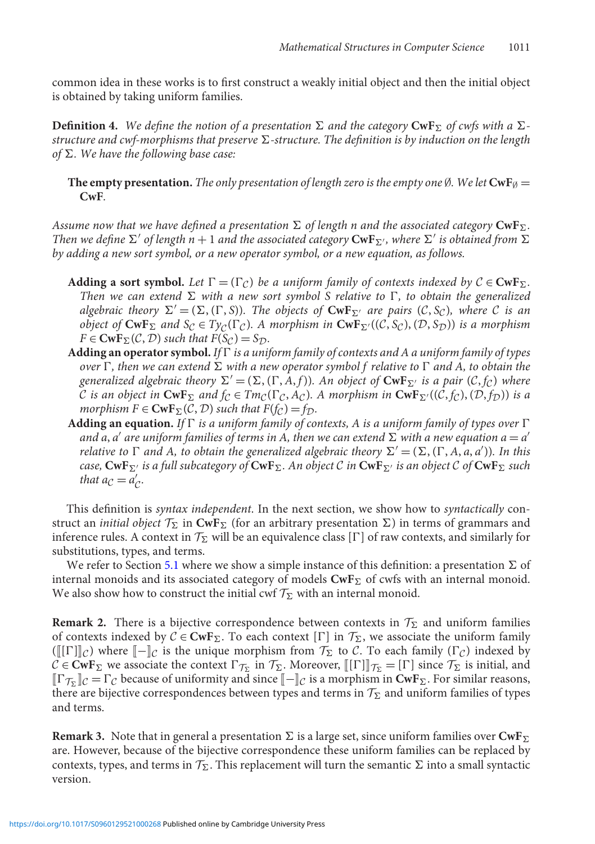common idea in these works is to first construct a weakly initial object and then the initial object is obtained by taking uniform families.

<span id="page-5-0"></span> $\bf{Definition~4.~}$  We define the notion of a presentation  $\Sigma$  and the category  $\bf{CwF_\Sigma}$  of cwfs with a  $\Sigma$ structure and cwf-morphisms that preserve  $\Sigma$ -structure. The definition is by induction on the length of Σ. We have the following base case:

**The empty presentation.** The only presentation of length zero is the empty one Ø. We let  $\text{CwF}_{\emptyset} =$ **CwF***.*

Assume now that we have defined a presentation  $\Sigma$  of length n and the associated category  $\mathbf{CwF}_{\Sigma}.$ *Then we define*  $\Sigma'$  *of length n* + 1 *and the associated category*  $\text{CwF}_{\Sigma'}$ *, where*  $\Sigma'$  *is obtained from*  $\Sigma$ *by adding a new sort symbol, or a new operator symbol, or a new equation, as follows.*

- **Adding a sort symbol.** Let  $\Gamma = (\Gamma_C)$  be a uniform family of contexts indexed by  $C \in \text{CwF}_\Sigma$ . Then we can extend  $\Sigma$  with a new sort symbol S relative to  $\Gamma$ , to obtain the generalized  $a$ *lgebraic theory*  $\Sigma' = (\Sigma, (\Gamma, S))$ *. The objects of*  $CwF_{\Sigma'}$  *are pairs*  $(C, S_C)$ *, where C is an object of*  $\mathbf{CwF}_{\Sigma}$  *and*  $S_{\mathcal{C}} \in T_{\mathcal{Y}_{\mathcal{C}}}(\Gamma_{\mathcal{C}})$ *. A morphism in*  $\mathbf{CwF}_{\Sigma'}((\mathcal{C}, S_{\mathcal{C}}), (\mathcal{D}, S_{\mathcal{D}}))$  *is a morphism*  $F \in \text{CwF}_{\Sigma}(\mathcal{C}, \mathcal{D})$  *such that*  $F(\mathcal{S}_{\mathcal{C}}) = \mathcal{S}_{\mathcal{D}}$ .
- **Adding an operator symbol.** *If is a uniform family of contexts and A a uniform family of types* over  $\Gamma$ , then we can extend  $\Sigma$  with a new operator symbol f relative to  $\Gamma$  and A, to obtain the *generalized algebraic theory*  $\Sigma' = (\Sigma, (\Gamma, A, f))$ *. An object of*  $CwF_{\Sigma'}$  *is a pair*  $(C, f_C)$  *where C is an object in*  $\text{CwF}_{\Sigma}$  *and*  $f_{\mathcal{C}} \in \text{Im}_{\mathcal{C}}(\Gamma_{\mathcal{C}}, A_{\mathcal{C}})$ *. A morphism in*  $\text{CwF}_{\Sigma'}((\mathcal{C}, f_{\mathcal{C}}), (\mathcal{D}, f_{\mathcal{D}}))$  *is a morphism*  $F \in \text{CwF}_{\Sigma}(\mathcal{C}, \mathcal{D})$  *such that*  $F(f_{\mathcal{C}}) = f_{\mathcal{D}}$ *.*
- **Adding an equation.** If  $\Gamma$  is a uniform family of contexts, A is a uniform family of types over  $\Gamma$ and a,  $a'$  are uniform families of terms in A, then we can extend  $\sum$  with a new equation  $a = a'$ *relative to*  $\Gamma$  *and*  $A$ *, to obtain the generalized algebraic theory*  $\Sigma' = (\Sigma, (\Gamma, A, a, a'))$ *. In this case,* **CwF**- *is a full subcategory of* **CwF**-*. An object C in* **CwF**- *is an object C of* **CwF**- *such that*  $a_{\mathcal{C}} = a'_{\mathcal{C}}$ *.*

This definition is *syntax independent*. In the next section, we show how to *syntactically* construct an *initial object*  $\mathcal{T}_{\Sigma}$  in  $\text{CwF}_{\Sigma}$  (for an arbitrary presentation  $\Sigma$ ) in terms of grammars and inference rules. A context in  $\mathcal{T}_{\Sigma}$  will be an equivalence class [ $\Gamma$ ] of raw contexts, and similarly for substitutions, types, and terms.

We refer to Section [5.1](#page-9-0) where we show a simple instance of this definition: a presentation  $\Sigma$  of internal monoids and its associated category of models  $\mathbf{CwF}_{\Sigma}$  of cwfs with an internal monoid. We also show how to construct the initial cwf  $\mathcal{T}_\Sigma$  with an internal monoid.

**Remark 2.** There is a bijective correspondence between contexts in  $\mathcal{T}_{\Sigma}$  and uniform families of contexts indexed by  $C \in \text{CwF}_{\Sigma}$ . To each context  $[\Gamma]$  in  $\mathcal{T}_{\Sigma}$ , we associate the uniform family  $(\llbracket [\Gamma] \rrbracket_C)$  where  $\llbracket - \rrbracket_C$  is the unique morphism from  $\mathcal{T}_\Sigma$  to *C*. To each family  $(\Gamma_C)$  indexed by  $C \in \text{CwF}_\Sigma$  we associate the context  $\Gamma_{\mathcal{T}_\Sigma}$  in  $\mathcal{T}_\Sigma$ . Moreover,  $[\![\Gamma]\!]_{\mathcal{T}_\Sigma} = [\Gamma]$  since  $\mathcal{T}_\Sigma$  is initial, and  $[\![\mathsf{T}_{\mathcal{T}_{\Sigma}}]\!]$ *C* =  $\Gamma$ *C* because of uniformity and since  $[\![\mathsf{-}]\!]$ *C* is a morphism in **CwF**<sub> $\Sigma$ </sub>. For similar reasons, there are bijective correspondences between types and terms in  $\mathcal{T}_\Sigma$  and uniform families of types and terms.

 ${\bf Remark~3.}\,$  Note that in general a presentation  $\Sigma$  is a large set, since uniform families over  ${\bf CwF_\Sigma}$ are. However, because of the bijective correspondence these uniform families can be replaced by contexts, types, and terms in  $\mathcal{T}_\Sigma.$  This replacement will turn the semantic  $\Sigma$  into a small syntactic version.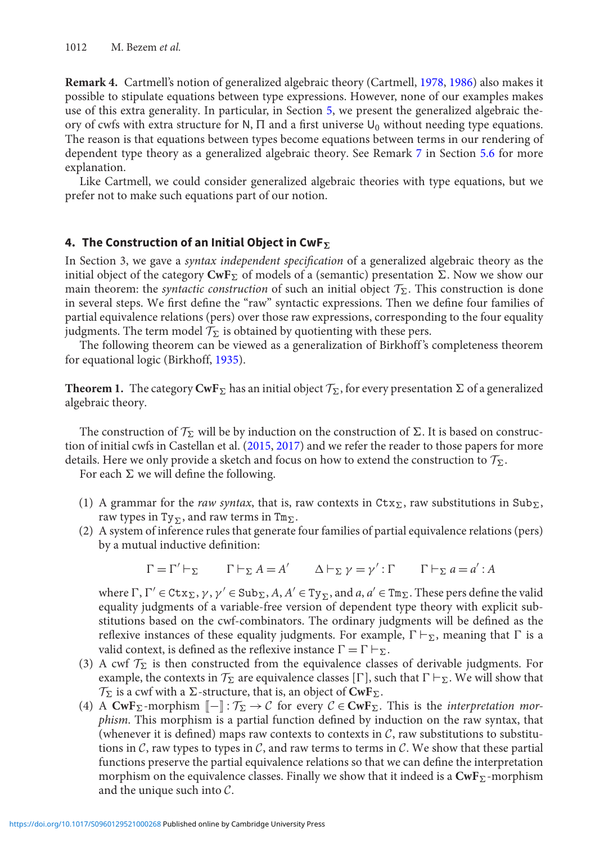**Remark 4.** Cartmell's notion of generalized algebraic theory (Cartmell, [1978,](#page-16-2) [1986](#page-16-3)) also makes it possible to stipulate equations between type expressions. However, none of our examples makes use of this extra generality. In particular, in Section [5,](#page-8-0) we present the generalized algebraic theory of cwfs with extra structure for N,  $\Pi$  and a first universe  $U_0$  without needing type equations. The reason is that equations between types become equations between terms in our rendering of dependent type theory as a generalized algebraic theory. See Remark [7](#page-14-0) in Section [5.6](#page-14-1) for more explanation.

Like Cartmell, we could consider generalized algebraic theories with type equations, but we prefer not to make such equations part of our notion.

# <span id="page-6-0"></span>**4. The Construction of an Initial Object in CwF***-*

In Section 3, we gave a *syntax independent specification* of a generalized algebraic theory as the initial object of the category  $\textbf{CwF}_\Sigma$  of models of a (semantic) presentation  $\Sigma.$  Now we show our main theorem: the *syntactic construction* of such an initial object  $\mathcal{T}_{\Sigma}$ . This construction is done in several steps. We first define the "raw" syntactic expressions. Then we define four families of partial equivalence relations (pers) over those raw expressions, corresponding to the four equality judgments. The term model  $\mathcal{T}_{\Sigma}$  is obtained by quotienting with these pers.

The following theorem can be viewed as a generalization of Birkhoff 's completeness theorem for equational logic (Birkhoff, [1935](#page-16-17)).

<span id="page-6-1"></span>**Theorem 1.** The category  $CwF_{\Sigma}$  has an initial object  $\mathcal{T}_{\Sigma}$ , for every presentation  $\Sigma$  of a generalized algebraic theory.

The construction of  $\mathcal{T}_{\Sigma}$  will be by induction on the construction of  $\Sigma$ . It is based on construction of initial cwfs in Castellan et al. [\(2015,](#page-16-0) [2017\)](#page-16-1) and we refer the reader to those papers for more details. Here we only provide a sketch and focus on how to extend the construction to  $\mathcal{T}_{\Sigma}$ .

For each  $\Sigma$  we will define the following.

- (1) A grammar for the *raw syntax*, that is, raw contexts in  $\text{Ctx}_{\Sigma}$ , raw substitutions in  $\text{Sub}_{\Sigma}$ , raw types in  $Ty_{\Sigma}$ , and raw terms in  $\texttt{Tm}_{\Sigma}$ .
- (2) A system of inference rules that generate four families of partial equivalence relations (pers) by a mutual inductive definition:

$$
\Gamma = \Gamma' \vdash_{\Sigma} \qquad \Gamma \vdash_{\Sigma} A = A' \qquad \Delta \vdash_{\Sigma} \gamma = \gamma' : \Gamma \qquad \Gamma \vdash_{\Sigma} a = a' : A
$$

where  $\Gamma$ ,  $\Gamma' \in \text{ctx}_\Sigma$ ,  $\gamma$ ,  $\gamma' \in \text{Sub}_\Sigma$ ,  $A$ ,  $A' \in \text{Ty}_\Sigma$ , and  $a, a' \in \text{Tw}_\Sigma$ . These pers define the valid equality judgments of a variable-free version of dependent type theory with explicit substitutions based on the cwf-combinators. The ordinary judgments will be defined as the reflexive instances of these equality judgments. For example,  $\Gamma \vdash_{\Sigma}$ , meaning that  $\Gamma$  is a valid context, is defined as the reflexive instance  $\Gamma = \Gamma \vdash_{\Sigma}$ .

- (3) A cwf  $\mathcal{T}_{\Sigma}$  is then constructed from the equivalence classes of derivable judgments. For example, the contexts in  $\mathcal{T}_{\Sigma}$  are equivalence classes  $[\Gamma]$ , such that  $\Gamma \vdash_{\Sigma}$ . We will show that  $\mathcal{T}_{\Sigma}$  is a cwf with a  $\Sigma$ -structure, that is, an object of  $\text{CwF}_{\Sigma}$ .
- (4) A  $CwF_{\Sigma}$ -morphism  $[-]: \mathcal{T}_{\Sigma} \to \mathcal{C}$  for every  $\mathcal{C} \in CwF_{\Sigma}$ . This is the *interpretation morphism*. This morphism is a partial function defined by induction on the raw syntax, that (whenever it is defined) maps raw contexts to contexts in  $C$ , raw substitutions to substitutions in *C*, raw types to types in *C*, and raw terms to terms in *C*. We show that these partial functions preserve the partial equivalence relations so that we can define the interpretation morphism on the equivalence classes. Finally we show that it indeed is a  $\mathbf{CwF}_{\Sigma}\text{-morphism}$ and the unique such into *C*.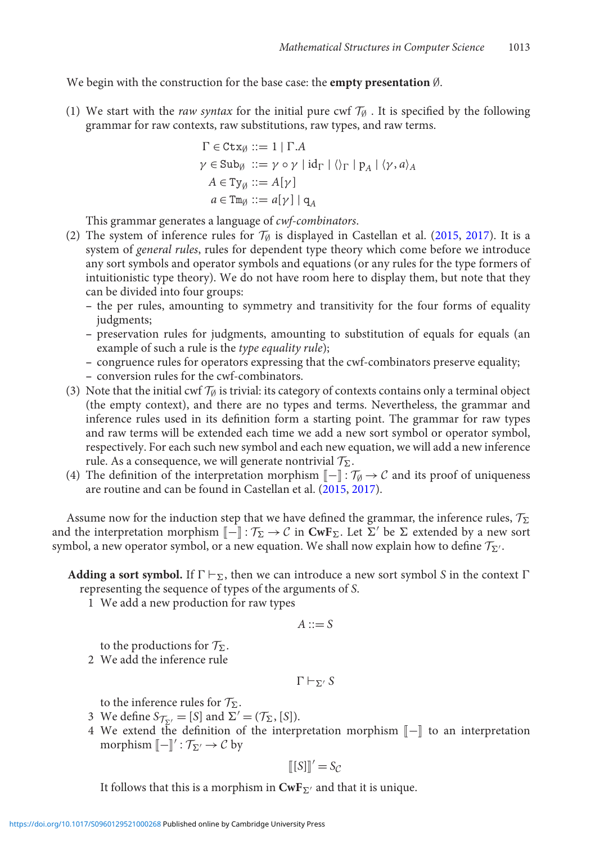We begin with the construction for the base case: the **empty presentation** ∅.

(1) We start with the *raw syntax* for the initial pure cwf  $\mathcal{T}_{\emptyset}$ . It is specified by the following grammar for raw contexts, raw substitutions, raw types, and raw terms.

$$
\Gamma \in \text{Ctx}_{\emptyset} ::= 1 | \Gamma.A
$$
\n
$$
\gamma \in \text{Sub}_{\emptyset} ::= \gamma \circ \gamma | \text{id}_{\Gamma} | \langle \rangle_{\Gamma} | p_A | \langle \gamma, a \rangle_A
$$
\n
$$
A \in \text{Ty}_{\emptyset} ::= A[\gamma]
$$
\n
$$
a \in \text{Tw}_{\emptyset} ::= a[\gamma] | q_A
$$

This grammar generates a language of *cwf-combinators*.

- (2) The system of inference rules for  $\mathcal{T}_{\emptyset}$  is displayed in Castellan et al. [\(2015,](#page-16-0) [2017\)](#page-16-1). It is a system of *general rules*, rules for dependent type theory which come before we introduce any sort symbols and operator symbols and equations (or any rules for the type formers of intuitionistic type theory). We do not have room here to display them, but note that they can be divided into four groups:
	- **–** the per rules, amounting to symmetry and transitivity for the four forms of equality judgments;
	- **–** preservation rules for judgments, amounting to substitution of equals for equals (an example of such a rule is the *type equality rule*);
	- **–** congruence rules for operators expressing that the cwf-combinators preserve equality;
	- **–** conversion rules for the cwf-combinators.
- (3) Note that the initial cwf  $\mathcal{T}_{\emptyset}$  is trivial: its category of contexts contains only a terminal object (the empty context), and there are no types and terms. Nevertheless, the grammar and inference rules used in its definition form a starting point. The grammar for raw types and raw terms will be extended each time we add a new sort symbol or operator symbol, respectively. For each such new symbol and each new equation, we will add a new inference rule. As a consequence, we will generate nontrivial *T*-.
- (4) The definition of the interpretation morphism  $[-] : \mathcal{T}_{\emptyset} \to \mathcal{C}$  and its proof of uniqueness are routine and can be found in Castellan et al. [\(2015](#page-16-0), [2017](#page-16-1)).

Assume now for the induction step that we have defined the grammar, the inference rules,  $\mathcal{T}_{\Sigma}$ and the interpretation morphism  $[-] : \mathcal{T}_{\Sigma} \to \mathcal{C}$  in  $CwF_{\Sigma}$ . Let  $\Sigma'$  be  $\Sigma$  extended by a new sort symbol, a new operator symbol, or a new equation. We shall now explain how to define  $\mathcal{T}_{\Sigma'}$ .

# **Adding a sort symbol.** If  $\Gamma \vdash_{\Sigma}$ , then we can introduce a new sort symbol *S* in the context  $\Gamma$ representing the sequence of types of the arguments of *S*.

1 We add a new production for raw types

$$
A ::= S
$$

to the productions for  $\mathcal{T}_{\Sigma}$ .

2 We add the inference rule

$$
\Gamma\vdash_{\Sigma'} S
$$

to the inference rules for  $\mathcal{T}_{\Sigma}$ .

- 3 We define  $S_{\mathcal{T}_{\Sigma'}} = [S]$  and  $\Sigma' = (\mathcal{T}_{\Sigma}, [S]).$
- 4 We extend the definition of the interpretation morphism  $[-]$  to an interpretation morphism  $[\![ - ]\!]': \mathcal{T}_{\Sigma'} \to \mathcal{C}$  by

$$
[[S]]' = S_{\mathcal{C}}
$$

It follows that this is a morphism in  $\mathbf{CwF}_{\Sigma'}$  and that it is unique.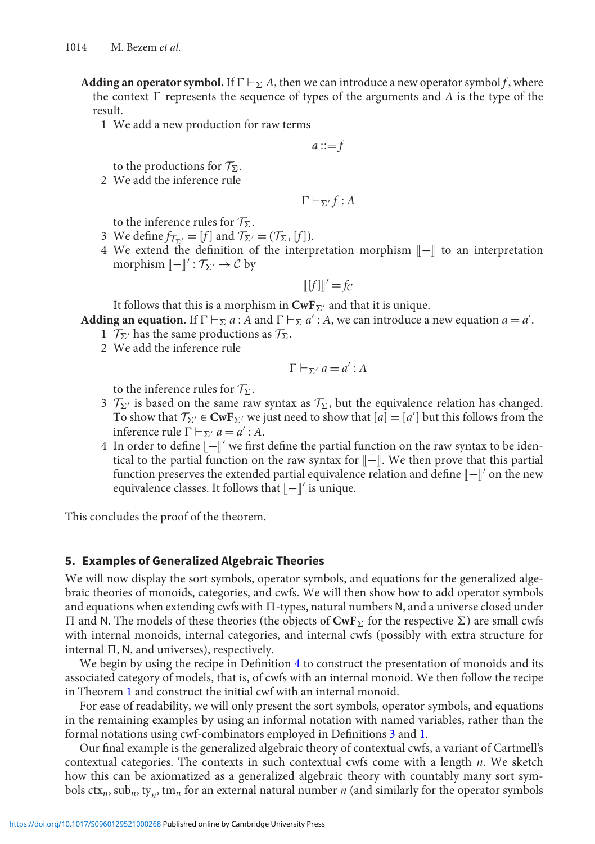- **Adding an operator symbol.** If  $\Gamma \vdash_{\Sigma} A$ , then we can introduce a new operator symbol *f*, where the context  $\Gamma$  represents the sequence of types of the arguments and *A* is the type of the result.
	- 1 We add a new production for raw terms

 $a ::= f$ 

to the productions for  $\mathcal{T}_{\Sigma}$ .

2 We add the inference rule

$$
\Gamma \vdash_{\Sigma'} f : A
$$

to the inference rules for  $\mathcal{T}_{\Sigma}$ .

- 3 We define  $f_{\mathcal{T}_{\Sigma'}} = [f]$  and  $\mathcal{T}_{\Sigma'} = (\mathcal{T}_{\Sigma}, [f]).$
- 4 We extend the definition of the interpretation morphism  $\llbracket \rrbracket$  to an interpretation morphism  $[\![ - ]\!]': \mathcal{T}_{\Sigma'} \to \mathcal{C}$  by

$$
[[f]]' = fc
$$

It follows that this is a morphism in  $\mathbf{CwF}_{\Sigma'}$  and that it is unique.

- **Adding an equation.** If  $\Gamma \vdash_{\Sigma} a$ : *A* and  $\Gamma \vdash_{\Sigma} a'$ : *A*, we can introduce a new equation  $a = a'$ .
	- 1  $\mathcal{T}_{\Sigma'}$  has the same productions as  $\mathcal{T}_{\Sigma}$ .
	- 2 We add the inference rule

$$
\Gamma \vdash_{\Sigma'} a = a' : A
$$

to the inference rules for  $\mathcal{T}_{\Sigma}$ .

- $\mathcal{T}_{\Sigma'}$  is based on the same raw syntax as  $\mathcal{T}_{\Sigma}$ , but the equivalence relation has changed. To show that  $\mathcal{T}_{\Sigma'} \in \mathbf{CwF}_{\Sigma'}$  we just need to show that  $[a] = [a']$  but this follows from the inference rule  $\Gamma \vdash_{\Sigma'} a = a' : A$ .
- 4 In order to define  $[-\cdot]]'$  we first define the partial function on the raw syntax to be identical to the partial function on the raw syntax for  $\llbracket - \rrbracket$ . We then prove that this partial function preserves the extended partial equivalence relation and define  $\llbracket - \rrbracket'$  on the new equivalence classes. It follows that  $[\![-\!]'$  is unique.

This concludes the proof of the theorem.

#### <span id="page-8-0"></span>**5. Examples of Generalized Algebraic Theories**

We will now display the sort symbols, operator symbols, and equations for the generalized algebraic theories of monoids, categories, and cwfs. We will then show how to add operator symbols and equations when extending cwfs with  $\Pi$ -types, natural numbers N, and a universe closed under  $\Pi$  and N. The models of these theories (the objects of  $CwF_{\Sigma}$  for the respective  $\Sigma$ ) are small cwfs with internal monoids, internal categories, and internal cwfs (possibly with extra structure for internal  $\Pi$ , N, and universes), respectively.

We begin by using the recipe in Definition [4](#page-5-0) to construct the presentation of monoids and its associated category of models, that is, of cwfs with an internal monoid. We then follow the recipe in Theorem [1](#page-6-1) and construct the initial cwf with an internal monoid.

For ease of readability, we will only present the sort symbols, operator symbols, and equations in the remaining examples by using an informal notation with named variables, rather than the formal notations using cwf-combinators employed in Definitions [3](#page-3-1) and [1.](#page-6-1)

Our final example is the generalized algebraic theory of contextual cwfs, a variant of Cartmell's contextual categories. The contexts in such contextual cwfs come with a length *n*. We sketch how this can be axiomatized as a generalized algebraic theory with countably many sort symbols  $ctx_n$ ,  $\text{su}_n$ ,  $\text{t}_n$ ,  $\text{tm}_n$  for an external natural number *n* (and similarly for the operator symbols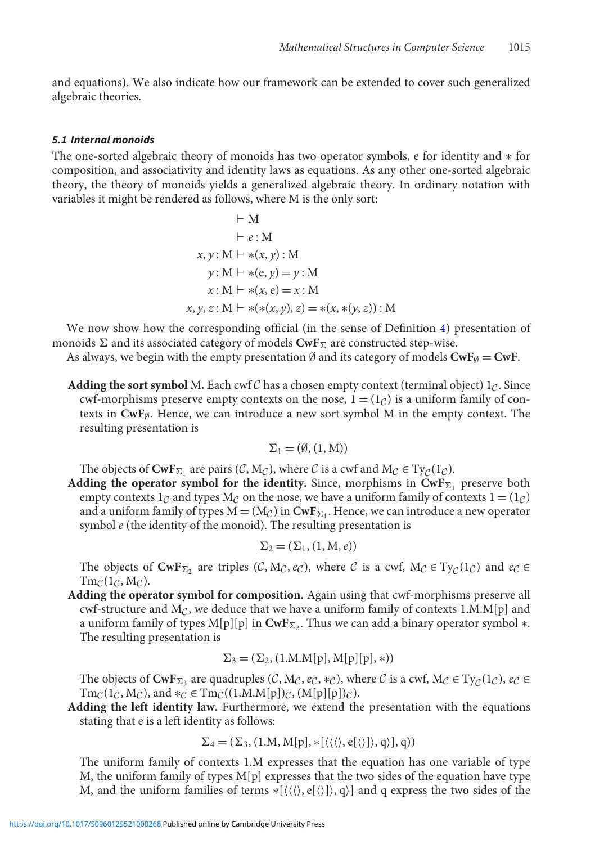and equations). We also indicate how our framework can be extended to cover such generalized algebraic theories.

#### <span id="page-9-0"></span>*5.1 Internal monoids*

The one-sorted algebraic theory of monoids has two operator symbols, e for identity and ∗ for composition, and associativity and identity laws as equations. As any other one-sorted algebraic theory, the theory of monoids yields a generalized algebraic theory. In ordinary notation with variables it might be rendered as follows, where M is the only sort:

$$
\vdash M \n\vdash e : M \nx, y : M \vdash *(x, y) : M \ny : M \vdash *(e, y) = y : M \nx : M \vdash *(x, e) = x : M \nx, y, z : M \vdash *(*(x, y), z) = *(x, *(y, z)) : M
$$

We now show how the corresponding official (in the sense of Definition [4\)](#page-5-0) presentation of monoids  $\Sigma$  and its associated category of models  $\mathbf{CwF}_{\Sigma}$  are constructed step-wise.

As always, we begin with the empty presentation  $\emptyset$  and its category of models  $\text{CwF}_{\emptyset} = \text{CwF}$ .

**Adding the sort symbol** M. Each cwf C has a chosen empty context (terminal object)  $1<sub>C</sub>$ . Since cwf-morphisms preserve empty contexts on the nose,  $1 = (1_C)$  is a uniform family of contexts in  $\text{CwF}_{\emptyset}$ . Hence, we can introduce a new sort symbol M in the empty context. The resulting presentation is

$$
\Sigma_1 = (\emptyset, (1, M))
$$

The objects of  $\text{CwF}_{\Sigma_1}$  are pairs  $(C, M_C)$ , where *C* is a cwf and  $M_C \in \text{Ty}_C(1_C)$ .

**Adding the operator symbol for the identity.** Since, morphisms in  $\mathbf{CwF}_{\Sigma_1}$  preserve both empty contexts  $1<sub>C</sub>$  and types  $M<sub>C</sub>$  on the nose, we have a uniform family of contexts  $1 = (1<sub>C</sub>)$ and a uniform family of types  $M = (M_C)$  in  $CwF_{\Sigma_1}$ . Hence, we can introduce a new operator symbol *e* (the identity of the monoid). The resulting presentation is

$$
\Sigma_2 = (\Sigma_1, (1, M, e))
$$

The objects of  $\text{CwF}_{\Sigma_2}$  are triples (*C*, M*c*, *e<sub>C</sub>*), where *C* is a cwf, M<sub>*C*</sub> ∈ Ty<sub>*C*</sub>(1*c*) and *e<sub>C</sub>* ∈  $Tm_{\mathcal{C}}(1_{\mathcal{C}},M_{\mathcal{C}}).$ 

**Adding the operator symbol for composition.** Again using that cwf-morphisms preserve all cwf-structure and  $M_C$ , we deduce that we have a uniform family of contexts  $1.M.M[p]$  and a uniform family of types M[p][p] in  $\text{CwF}_{\Sigma_2}$ . Thus we can add a binary operator symbol  $\ast$ . The resulting presentation is

$$
\Sigma_3 = (\Sigma_2, (1.M.M[p], M[p][p], *))
$$

The objects of  $\text{CwF}_{\Sigma_3}$  are quadruples (*C*,  $M_C$ , *e<sub>C</sub>*,  $*\infty$ ), where *C* is a cwf,  $M_C \in \text{Ty}_C(1_C)$ ,  $e_C \in$ <br> $\text{Tw}_C(1_C)$ ,  $\text{Tw}_C(1_C)$ ,  $\text{Tw}_C(1_C)$ ,  $\text{Tw}_C(1_C)$ ,  $\text{Tw}_C(1_C)$ ,  $\text{Tw}_C(1_C)$ ,  $\text{Tw}_C(1_C)$  $\text{Tr}_{\mathcal{C}}(1_{\mathcal{C}}, M_{\mathcal{C}})$ , and  $*_\mathcal{C} \in \text{Tr}_{\mathcal{C}}((1.M.M[p])_{\mathcal{C}}, (M[p][p])_{\mathcal{C}})$ .

**Adding the left identity law.** Furthermore, we extend the presentation with the equations stating that e is a left identity as follows:

$$
\Sigma_4 = (\Sigma_3, (1.M, M[p], *[\langle\langle\langle\rangle, e[\langle\rangle]\rangle, q\rangle], q))
$$

The uniform family of contexts 1.M expresses that the equation has one variable of type M, the uniform family of types M[p] expresses that the two sides of the equation have type M, and the uniform families of terms  $\{(\langle \rangle, e[\langle \rangle], q\rangle\}$  and q express the two sides of the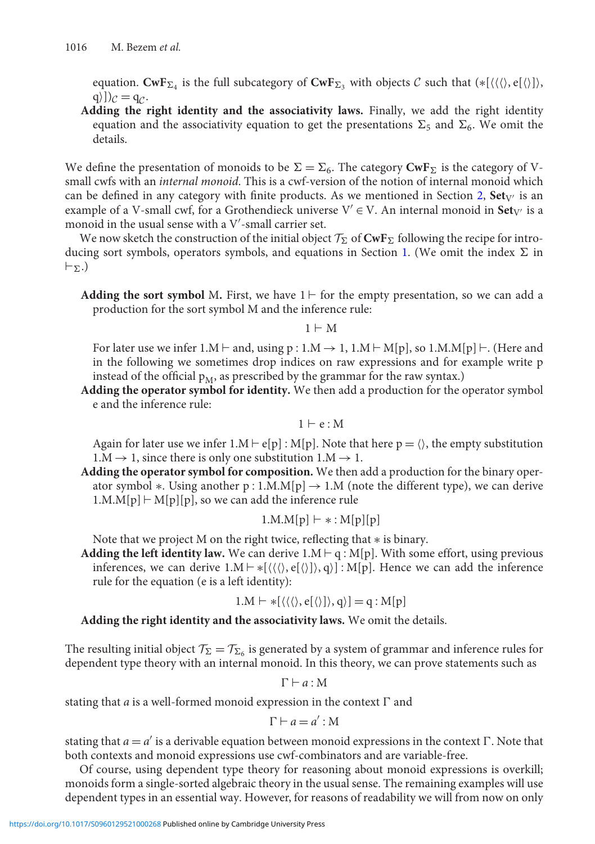equation.  $\mathbf{CwF}_{\Sigma_4}$  is the full subcategory of  $\mathbf{CwF}_{\Sigma_3}$  with objects  $C$  such that  $(*[\langle\langle\rangle, \epsilon[\langle\rangle]\rangle,$  $q)$ ]) $c = q_c$ .

**Adding the right identity and the associativity laws.** Finally, we add the right identity equation and the associativity equation to get the presentations  $\Sigma_5$  and  $\Sigma_6$ . We omit the details.

We define the presentation of monoids to be  $\Sigma = \Sigma_6$ . The category **CwF**<sub> $\Sigma$ </sub> is the category of Vsmall cwfs with an *internal monoid*. This is a cwf-version of the notion of internal monoid which can be defined in any category with finite products. As we mentioned in Section [2,](#page-2-0)  $Set_{V}$  is an example of a V-small cwf, for a Grothendieck universe  $V' \in V$ . An internal monoid in **Set**<sub>V'</sub> is a monoid in the usual sense with a  $V'$ -small carrier set.

We now sketch the construction of the initial object  $\mathcal{T}_{\Sigma}$  of  $\text{CwF}_{\Sigma}$  following the recipe for intro-ducing sort symbols, operators symbols, and equations in Section [1.](#page-6-1) (We omit the index  $\Sigma$  in  $\vdash_{\Sigma}.)$ 

**Adding the sort symbol** M. First, we have  $1 \vdash$  for the empty presentation, so we can add a production for the sort symbol M and the inference rule:

 $1 \vdash M$ 

For later use we infer 1.M  $\vdash$  and, using p : 1.M  $\rightarrow$  1, 1.M  $\vdash$  M[p], so 1.M.M[p]  $\vdash$  . (Here and in the following we sometimes drop indices on raw expressions and for example write p instead of the official  $p_M$ , as prescribed by the grammar for the raw syntax.)

**Adding the operator symbol for identity.** We then add a production for the operator symbol e and the inference rule:

 $1 \vdash e : M$ 

Again for later use we infer  $1.M \vdash e[p] : M[p]$ . Note that here  $p = \langle \rangle$ , the empty substitution  $1.M \rightarrow 1$ , since there is only one substitution  $1.M \rightarrow 1$ .

**Adding the operator symbol for composition.** We then add a production for the binary operator symbol  $\ast$ . Using another p : 1.M.M[p]  $\rightarrow$  1.M (note the different type), we can derive  $1.M.M[p] \vdash M[p][p]$ , so we can add the inference rule

$$
1.M.M[p] \vdash * : M[p][p]
$$

Note that we project M on the right twice, reflecting that ∗ is binary.

**Adding the left identity law.** We can derive  $1.M \vdash q : M[p]$ . With some effort, using previous inferences, we can derive  $1.M \vdash *[\langle \langle \langle \rangle, e[\langle \rangle] \rangle, q \rangle] : M[p]$ . Hence we can add the inference rule for the equation (e is a left identity):

$$
1.M \vdash *[\langle\langle\langle\rangle, e[\langle\rangle]\rangle, q\rangle] = q : M[p]
$$

**Adding the right identity and the associativity laws.** We omit the details.

The resulting initial object  $\mathcal{T}_\Sigma = \mathcal{T}_{\Sigma_6}$  is generated by a system of grammar and inference rules for dependent type theory with an internal monoid. In this theory, we can prove statements such as

 $\Gamma \vdash a : M$ 

stating that *a* is a well-formed monoid expression in the context  $\Gamma$  and

$$
\Gamma \vdash a = a' : M
$$

stating that  $a = a'$  is a derivable equation between monoid expressions in the context  $\Gamma$ . Note that both contexts and monoid expressions use cwf-combinators and are variable-free.

Of course, using dependent type theory for reasoning about monoid expressions is overkill; monoids form a single-sorted algebraic theory in the usual sense. The remaining examples will use dependent types in an essential way. However, for reasons of readability we will from now on only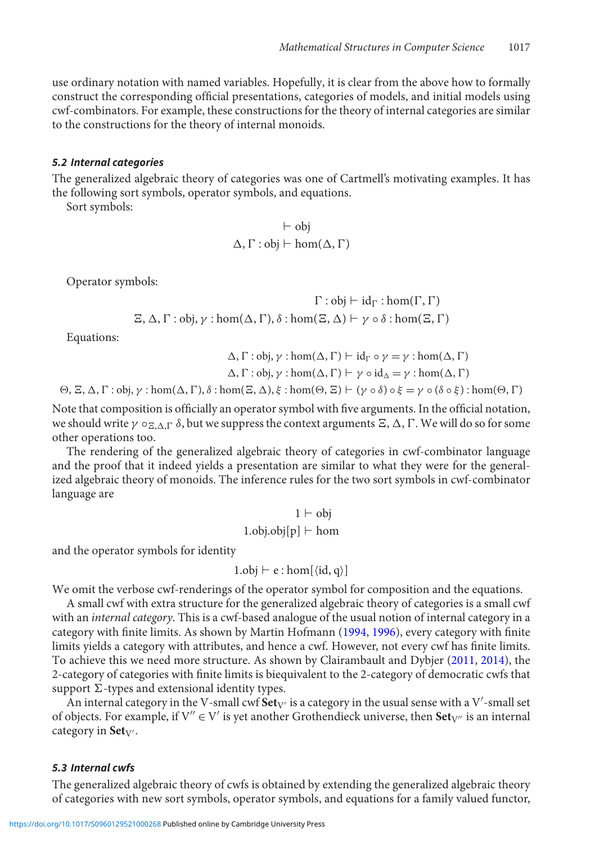use ordinary notation with named variables. Hopefully, it is clear from the above how to formally construct the corresponding official presentations, categories of models, and initial models using cwf-combinators. For example, these constructions for the theory of internal categories are similar to the constructions for the theory of internal monoids.

# <span id="page-11-1"></span>*5.2 Internal categories*

The generalized algebraic theory of categories was one of Cartmell's motivating examples. It has the following sort symbols, operator symbols, and equations.

Sort symbols:

$$
\vdash \text{obj} \\ \Delta, \Gamma : \text{obj} \vdash \text{hom}(\Delta, \Gamma)
$$

Operator symbols:

$$
\Gamma : obj \vdash id_{\Gamma} : hom(\Gamma, \Gamma)
$$
  

$$
\Xi, \Delta, \Gamma : obj, \gamma : hom(\Delta, \Gamma), \delta : hom(\Xi, \Delta) \vdash \gamma \circ \delta : hom(\Xi, \Gamma)
$$

Equations:

$$
\Delta, \Gamma : obj, \gamma : hom(\Delta, \Gamma) \vdash id_{\Gamma} \circ \gamma = \gamma : hom(\Delta, \Gamma)
$$

$$
\Delta, \Gamma : obj, \gamma : hom(\Delta, \Gamma) \vdash \gamma \circ id_{\Delta} = \gamma : hom(\Delta, \Gamma)
$$

$$
\Theta, \Xi, \Delta, \Gamma : obj, \gamma : hom(\Delta, \Gamma), \delta : hom(\Xi, \Delta), \xi : hom(\Theta, \Xi) \vdash (\gamma \circ \delta) \circ \xi = \gamma \circ (\delta \circ \xi) : hom(\Theta, \Gamma)
$$

Note that composition is officially an operator symbol with five arguments. In the official notation, we should write  $\gamma \circ_{\Xi, \Delta, \Gamma} \delta$ , but we suppress the context arguments  $\Xi$ ,  $\Delta$ ,  $\Gamma$ . We will do so for some other operations too.

The rendering of the generalized algebraic theory of categories in cwf-combinator language and the proof that it indeed yields a presentation are similar to what they were for the generalized algebraic theory of monoids. The inference rules for the two sort symbols in cwf-combinator language are

$$
1 \vdash obj
$$
  
1.obj.obj[p]  $\vdash$  hom

and the operator symbols for identity

$$
1.obj \vdash e : hom[\langle id, q \rangle]
$$

We omit the verbose cwf-renderings of the operator symbol for composition and the equations.

A small cwf with extra structure for the generalized algebraic theory of categories is a small cwf with an *internal category*. This is a cwf-based analogue of the usual notion of internal category in a category with finite limits. As shown by Martin Hofmann [\(1994,](#page-16-5) [1996](#page-16-13)), every category with finite limits yields a category with attributes, and hence a cwf. However, not every cwf has finite limits. To achieve this we need more structure. As shown by Clairambault and Dybjer [\(2011](#page-16-18), [2014\)](#page-16-19), the 2-category of categories with finite limits is biequivalent to the 2-category of democratic cwfs that support  $\Sigma$ -types and extensional identity types.

An internal category in the V-small cwf  $\textbf{Set}_{V'}$  is a category in the usual sense with a V'-small set of objects. For example, if  $V'' \in V'$  is yet another Grothendieck universe, then  $Set_{V''}$  is an internal category in Set<sub>V'</sub>.

## <span id="page-11-0"></span>*5.3 Internal cwfs*

The generalized algebraic theory of cwfs is obtained by extending the generalized algebraic theory of categories with new sort symbols, operator symbols, and equations for a family valued functor,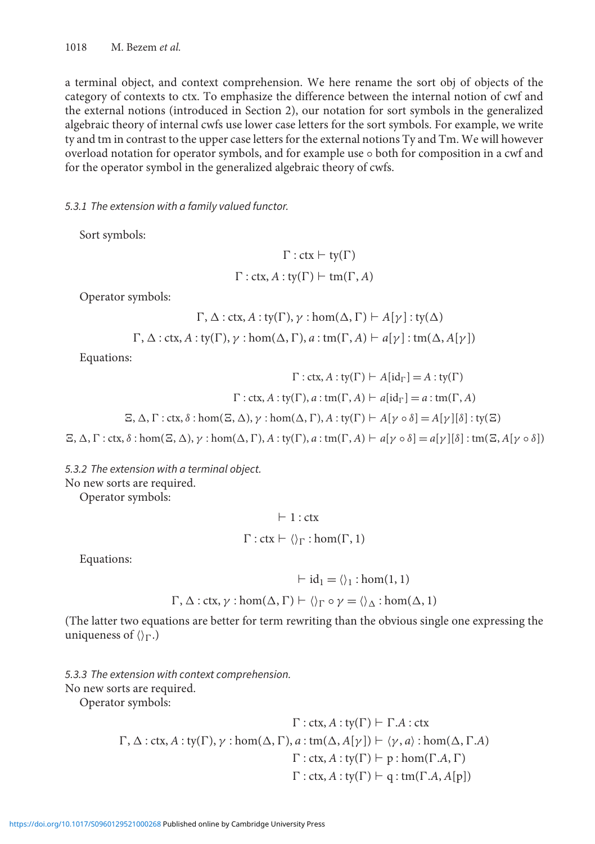a terminal object, and context comprehension. We here rename the sort obj of objects of the category of contexts to ctx. To emphasize the difference between the internal notion of cwf and the external notions (introduced in Section 2), our notation for sort symbols in the generalized algebraic theory of internal cwfs use lower case letters for the sort symbols. For example, we write ty and tm in contrast to the upper case letters for the external notions Ty and Tm. We will however overload notation for operator symbols, and for example use ◦ both for composition in a cwf and for the operator symbol in the generalized algebraic theory of cwfs.

*5.3.1 The extension with a family valued functor.*

Sort symbols:

$$
\Gamma : \text{ctx} \vdash \text{ty}(\Gamma)
$$

$$
\Gamma : \text{ctx}, A : \text{ty}(\Gamma) \vdash \text{tm}(\Gamma, A)
$$

Operator symbols:

$$
\Gamma, \Delta: \text{ctx}, A: \text{ty}(\Gamma), \gamma: \text{hom}(\Delta, \Gamma) \vdash A[\gamma]: \text{ty}(\Delta)
$$

$$
\Gamma
$$
,  $\Delta$  : ctx, A : ty( $\Gamma$ ),  $\gamma$  : hom( $\Delta$ ,  $\Gamma$ ), a : tm( $\Gamma$ , A)  $\vdash$  a[ $\gamma$ ] : tm( $\Delta$ , A[ $\gamma$ ])

Equations:

 $\Gamma$ : ctx,  $A$ : ty( $\Gamma$ )  $\vdash$   $A$ [id<sub> $\Gamma$ </sub>] =  $A$ : ty( $\Gamma$ )  $\Gamma$ : ctx,  $A$ : ty( $\Gamma$ ),  $a$ : tm( $\Gamma$ ,  $A$ )  $\vdash$   $a[\text{id}_{\Gamma}] = a$ : tm( $\Gamma$ ,  $A$ )

$$
\Xi, \Delta, \Gamma: \text{ctx}, \delta: \text{hom}(\Xi, \Delta), \gamma: \text{hom}(\Delta, \Gamma), A: \text{ty}(\Gamma) \vdash A[\gamma \circ \delta] = A[\gamma][\delta]: \text{ty}(\Xi)
$$

 $\Xi$ ,  $\Delta$ ,  $\Gamma$  : ctx,  $\delta$  : hom $(\Xi, \Delta)$ ,  $\gamma$  : hom $(\Delta, \Gamma)$ ,  $A$  : ty $(\Gamma)$ ,  $a$  : tm $(\Gamma, A)$   $\vdash a[\gamma \circ \delta] = a[\gamma][\delta]$  : tm $(\Xi, A[\gamma \circ \delta])$ 

*5.3.2 The extension with a terminal object.*

No new sorts are required.

Operator symbols:

$$
\vdash 1: \text{ctx}
$$
\n
$$
\Gamma: \text{ctx} \vdash \langle \rangle_{\Gamma}: \text{hom}(\Gamma, 1)
$$

Equations:

$$
\vdash id_1 = \langle \rangle_1 : \text{hom}(1, 1)
$$
  

$$
\Gamma, \Delta : \text{ctx}, \gamma : \text{hom}(\Delta, \Gamma) \vdash \langle \rangle_{\Gamma} \circ \gamma = \langle \rangle_{\Delta} : \text{hom}(\Delta, 1)
$$

(The latter two equations are better for term rewriting than the obvious single one expressing the uniqueness of  $\langle \rangle_{\Gamma}$ .)

*5.3.3 The extension with context comprehension.*

No new sorts are required.

Operator symbols:

$$
\Gamma: \text{ctx}, A: \text{ty}(\Gamma) \vdash \Gamma.A: \text{ctx}
$$
  

$$
\Gamma, \Delta: \text{ctx}, A: \text{ty}(\Gamma), \gamma: \text{hom}(\Delta, \Gamma), a: \text{tm}(\Delta, A[\gamma]) \vdash \langle \gamma, a \rangle: \text{hom}(\Delta, \Gamma.A)
$$
  

$$
\Gamma: \text{ctx}, A: \text{ty}(\Gamma) \vdash p: \text{hom}(\Gamma.A, \Gamma)
$$
  

$$
\Gamma: \text{ctx}, A: \text{ty}(\Gamma) \vdash q: \text{tm}(\Gamma.A, A[p])
$$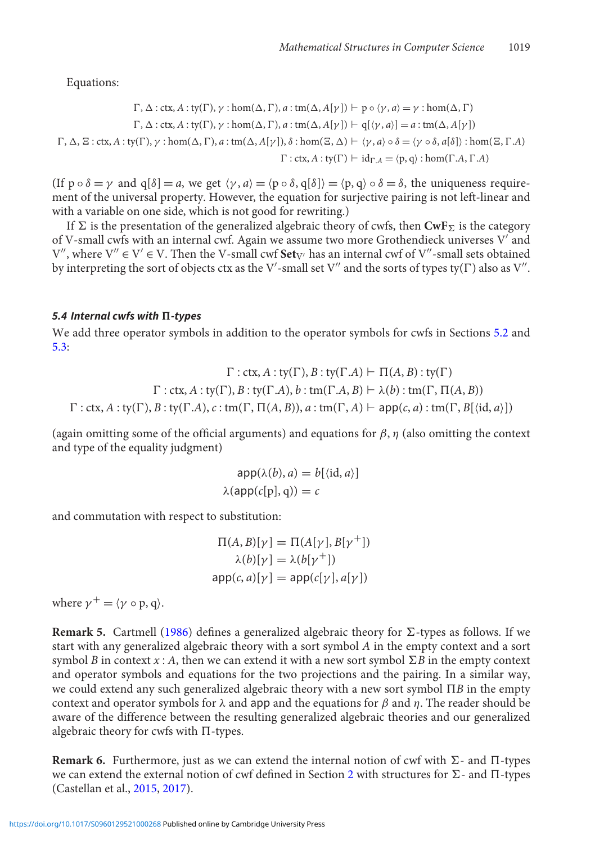Equations:

$$
\Gamma, \Delta: \text{ctx}, A: \text{ty}(\Gamma), \gamma: \text{hom}(\Delta, \Gamma), a: \text{tm}(\Delta, A[\gamma]) \vdash p \circ \langle \gamma, a \rangle = \gamma: \text{hom}(\Delta, \Gamma)
$$
\n
$$
\Gamma, \Delta: \text{ctx}, A: \text{ty}(\Gamma), \gamma: \text{hom}(\Delta, \Gamma), a: \text{tm}(\Delta, A[\gamma]) \vdash q[\langle \gamma, a \rangle] = a: \text{tm}(\Delta, A[\gamma])
$$
\n
$$
\Gamma, \Delta, \Xi: \text{ctx}, A: \text{ty}(\Gamma), \gamma: \text{hom}(\Delta, \Gamma), a: \text{tm}(\Delta, A[\gamma]), \delta: \text{hom}(\Xi, \Delta) \vdash \langle \gamma, a \rangle \circ \delta = \langle \gamma \circ \delta, a[\delta] \rangle: \text{hom}(\Xi, \Gamma.A)
$$
\n
$$
\Gamma: \text{ctx}, A: \text{ty}(\Gamma) \vdash \text{id}_{\Gamma.A} = \langle p, q \rangle: \text{hom}(\Gamma.A, \Gamma.A)
$$

(If  $p \circ \delta = \gamma$  and  $q[\delta] = a$ , we get  $\langle \gamma, a \rangle = \langle p \circ \delta, q[\delta] \rangle = \langle p, q \rangle \circ \delta = \delta$ , the uniqueness requirement of the universal property. However, the equation for surjective pairing is not left-linear and with a variable on one side, which is not good for rewriting.)

If  $\Sigma$  is the presentation of the generalized algebraic theory of cwfs, then  $\text{CwF}_\Sigma$  is the category of V-small cwfs with an internal cwf. Again we assume two more Grothendieck universes V' and  $V''$ , where  $V'' \in V' \in V$ . Then the V-small cwf **Set**<sub>V'</sub> has an internal cwf of V''-small sets obtained by interpreting the sort of objects ctx as the V'-small set V'' and the sorts of types ty( $\Gamma$ ) also as V''.

# *5.4 Internal cwfs with -types*

We add three operator symbols in addition to the operator symbols for cwfs in Sections [5.2](#page-11-1) and [5.3:](#page-11-0)

 $\Gamma$ : ctx,  $A$ : ty( $\Gamma$ ),  $B$ : ty( $\Gamma$ ,  $A$ )  $\vdash \Pi(A, B)$ : ty( $\Gamma$ )  $\Gamma$ : ctx,  $A$ : ty( $\Gamma$ ),  $B$ : ty( $\Gamma$ , $A$ ),  $b$ : tm( $\Gamma$ , $A$ ,  $B$ )  $\vdash \lambda(b)$ : tm( $\Gamma$ ,  $\Pi(A, B)$ )  $\Gamma$ : ctx, *A* : ty( $\Gamma$ ), *B* : ty( $\Gamma$ ,*A*), *c* : tm( $\Gamma$ ,  $\Pi(A, B)$ ), *a* : tm( $\Gamma$ , *A*)  $\vdash$  app(*c*, *a*) : tm( $\Gamma$ ,  $B[\langle id, a \rangle]$ )

(again omitting some of the official arguments) and equations for  $\beta$ ,  $\eta$  (also omitting the context and type of the equality judgment)

$$
app(\lambda(b), a) = b[\langle id, a \rangle]
$$

$$
\lambda(app(c[p], q)) = c
$$

and commutation with respect to substitution:

$$
\Pi(A, B)[\gamma] = \Pi(A[\gamma], B[\gamma^+])
$$

$$
\lambda(b)[\gamma] = \lambda(b[\gamma^+])
$$

$$
app(c, a)[\gamma] = app(c[\gamma], a[\gamma])
$$

where  $\gamma^+ = \langle \gamma \circ p, q \rangle$ .

**Remark 5.** Cartmell [\(1986](#page-16-3)) defines a generalized algebraic theory for  $\Sigma$ -types as follows. If we start with any generalized algebraic theory with a sort symbol *A* in the empty context and a sort symbol *B* in context *x* : *A*, then we can extend it with a new sort symbol  $\Sigma B$  in the empty context and operator symbols and equations for the two projections and the pairing. In a similar way, we could extend any such generalized algebraic theory with a new sort symbol  $\Pi B$  in the empty context and operator symbols for  $\lambda$  and app and the equations for  $\beta$  and  $\eta$ . The reader should be aware of the difference between the resulting generalized algebraic theories and our generalized algebraic theory for cwfs with  $\Pi$ -types.

**Remark 6.** Furthermore, just as we can extend the internal notion of cwf with  $\Sigma$ - and  $\Pi$ -types we can extend the external notion of cwf defined in Section [2](#page-2-0) with structures for  $\Sigma$ - and  $\Pi$ -types (Castellan et al., [2015](#page-16-0), [2017\)](#page-16-1).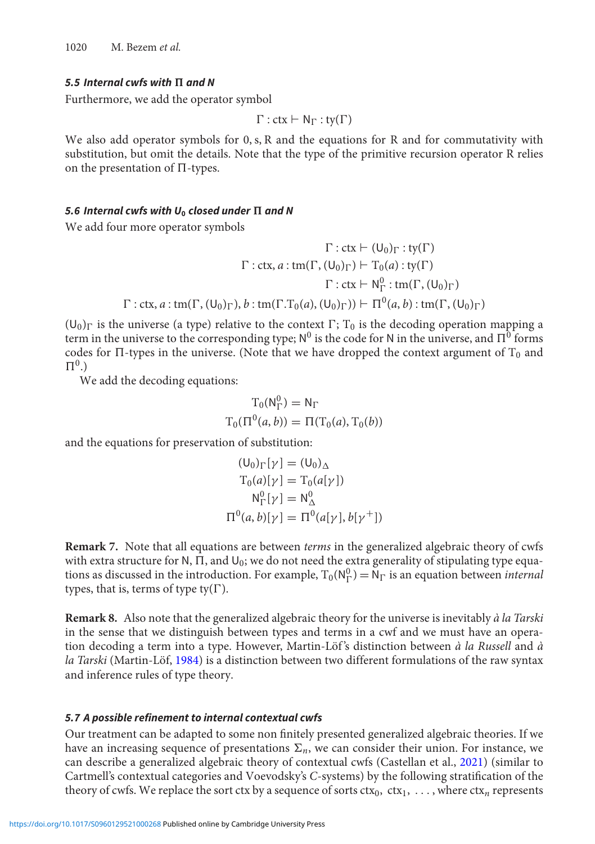1020 M. Bezem *et al.*

#### *5.5 Internal cwfs with and N*

Furthermore, we add the operator symbol

$$
\Gamma: \mathsf{ctx} \vdash \mathsf{N}_\Gamma : \mathsf{ty}(\Gamma)
$$

We also add operator symbols for 0, s, R and the equations for R and for commutativity with substitution, but omit the details. Note that the type of the primitive recursion operator R relies on the presentation of  $\Pi$ -types.

# <span id="page-14-1"></span>5.6 Internal cwfs with  $U_0$  closed under  $\Pi$  and N

We add four more operator symbols

$$
\Gamma: \text{ctx} \vdash (U_0)_{\Gamma}: \text{ty}(\Gamma)
$$

$$
\Gamma: \text{ctx}, a: \text{tm}(\Gamma, (U_0)_{\Gamma}) \vdash T_0(a): \text{ty}(\Gamma)
$$

$$
\Gamma: \text{ctx} \vdash N_{\Gamma}^0: \text{tm}(\Gamma, (U_0)_{\Gamma})
$$

$$
\Gamma: \text{ctx}, a: \text{tm}(\Gamma, (U_0)_{\Gamma}), b: \text{tm}(\Gamma, T_0(a), (U_0)_{\Gamma})) \vdash \Pi^0(a, b): \text{tm}(\Gamma, (U_0)_{\Gamma})
$$

 $(U_0)_\Gamma$  is the universe (a type) relative to the context  $\Gamma$ ;  $T_0$  is the decoding operation mapping a term in the universe to the corresponding type;  $N^0$  is the code for N in the universe, and  $\Pi^0$  forms codes for  $\Pi$ -types in the universe. (Note that we have dropped the context argument of  $T_0$  and  $\Pi^0$ .)

We add the decoding equations:

$$
T_0(N_\Gamma^0) = N_\Gamma
$$
  

$$
T_0(\Pi^0(a, b)) = \Pi(T_0(a), T_0(b))
$$

and the equations for preservation of substitution:

$$
(\mathsf{U}_0)_{\Gamma}[\gamma] = (\mathsf{U}_0)_{\Delta}
$$
  
\n
$$
\mathsf{T}_0(a)[\gamma] = \mathsf{T}_0(a[\gamma])
$$
  
\n
$$
\mathsf{N}_{\Gamma}^0[\gamma] = \mathsf{N}_{\Delta}^0
$$
  
\n
$$
\mathsf{\Pi}^0(a, b)[\gamma] = \mathsf{\Pi}^0(a[\gamma], b[\gamma^+])
$$

<span id="page-14-0"></span>**Remark 7.** Note that all equations are between *terms* in the generalized algebraic theory of cwfs with extra structure for N,  $\Pi$ , and  $U_0$ ; we do not need the extra generality of stipulating type equations as discussed in the introduction. For example,  $T_0(N_\Gamma^0) = N_\Gamma$  is an equation between *internal* types, that is, terms of type ty( $\Gamma$ ).

**Remark 8.** Also note that the generalized algebraic theory for the universe is inevitably *à la Tarski* in the sense that we distinguish between types and terms in a cwf and we must have an operation decoding a term into a type. However, Martin-Löf 's distinction between *à la Russell* and *à la Tarski* (Martin-Löf, [1984\)](#page-16-20) is a distinction between two different formulations of the raw syntax and inference rules of type theory.

#### *5.7 A possible refinement to internal contextual cwfs*

Our treatment can be adapted to some non finitely presented generalized algebraic theories. If we have an increasing sequence of presentations  $\Sigma_n$ , we can consider their union. For instance, we can describe a generalized algebraic theory of contextual cwfs (Castellan et al., [2021](#page-16-21)) (similar to Cartmell's contextual categories and Voevodsky's *C*-systems) by the following stratification of the theory of cwfs. We replace the sort ctx by a sequence of sorts  $\text{ctx}_0$ ,  $\text{ctx}_1$ , ..., where  $\text{ctx}_n$  represents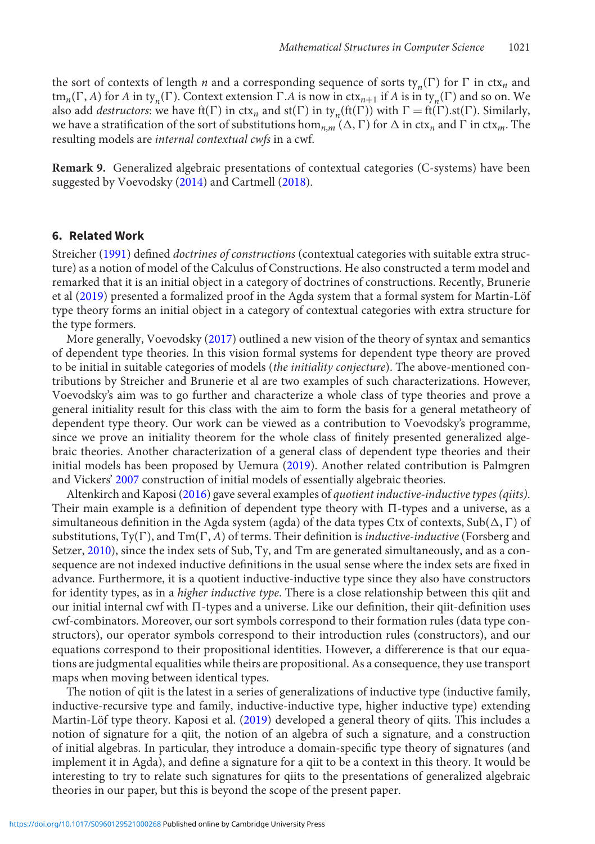the sort of contexts of length *n* and a corresponding sequence of sorts  $\text{tr}_{n}(\Gamma)$  for  $\Gamma$  in ctx<sub>*n*</sub> and tm<sub>*n*</sub>( $\Gamma$ , *A*) for *A* in ty<sub>n</sub>( $\Gamma$ ). Context extension  $\Gamma$ . *A* is now in ctx<sub>*n*+1</sub> if *A* is in ty<sub>n</sub>( $\Gamma$ ) and so on. We also add *destructors*: we have  $f(f)$  in  $ctx$ <sub>*n*</sub> and  $s(f)$  in ty<sub>n</sub>( $f(f)$ ) with  $\Gamma = f(f)$ . Similarly, we have a stratification of the sort of substitutions  $\hom_{n,m}(\Delta, \Gamma)$  for  $\Delta$  in ctx<sub>n</sub> and  $\Gamma$  in ctx<sub>m</sub>. The resulting models are *internal contextual cwfs* in a cwf.

**Remark 9.** Generalized algebraic presentations of contextual categories (C-systems) have been suggested by Voevodsky [\(2014\)](#page-17-3) and Cartmell [\(2018\)](#page-16-22).

# <span id="page-15-0"></span>**6. Related Work**

Streicher [\(1991](#page-17-4)) defined *doctrines of constructions* (contextual categories with suitable extra structure) as a notion of model of the Calculus of Constructions. He also constructed a term model and remarked that it is an initial object in a category of doctrines of constructions. Recently, Brunerie et al [\(2019\)](#page-16-23) presented a formalized proof in the Agda system that a formal system for Martin-Löf type theory forms an initial object in a category of contextual categories with extra structure for the type formers.

More generally, Voevodsky [\(2017\)](#page-17-0) outlined a new vision of the theory of syntax and semantics of dependent type theories. In this vision formal systems for dependent type theory are proved to be initial in suitable categories of models (*the initiality conjecture*). The above-mentioned contributions by Streicher and Brunerie et al are two examples of such characterizations. However, Voevodsky's aim was to go further and characterize a whole class of type theories and prove a general initiality result for this class with the aim to form the basis for a general metatheory of dependent type theory. Our work can be viewed as a contribution to Voevodsky's programme, since we prove an initiality theorem for the whole class of finitely presented generalized algebraic theories. Another characterization of a general class of dependent type theories and their initial models has been proposed by Uemura [\(2019\)](#page-17-5). Another related contribution is Palmgren and Vickers' [2007](#page-17-6) construction of initial models of essentially algebraic theories.

Altenkirch and Kaposi [\(2016](#page-16-9)) gave several examples of *quotient inductive-inductive types (qiits)*. Their main example is a definition of dependent type theory with  $\Pi$ -types and a universe, as a simultaneous definition in the Agda system (agda) of the data types Ctx of contexts, Sub( $\Delta$ ,  $\Gamma$ ) of substitutions,  $T_y(\Gamma)$ , and  $T_m(\Gamma, A)$  of terms. Their definition is *inductive-inductive* (Forsberg and Setzer, [2010](#page-16-24)), since the index sets of Sub, Ty, and Tm are generated simultaneously, and as a consequence are not indexed inductive definitions in the usual sense where the index sets are fixed in advance. Furthermore, it is a quotient inductive-inductive type since they also have constructors for identity types, as in a *higher inductive type*. There is a close relationship between this qiit and our initial internal cwf with  $\Pi$ -types and a universe. Like our definition, their qiit-definition uses cwf-combinators. Moreover, our sort symbols correspond to their formation rules (data type constructors), our operator symbols correspond to their introduction rules (constructors), and our equations correspond to their propositional identities. However, a differerence is that our equations are judgmental equalities while theirs are propositional. As a consequence, they use transport maps when moving between identical types.

The notion of qiit is the latest in a series of generalizations of inductive type (inductive family, inductive-recursive type and family, inductive-inductive type, higher inductive type) extending Martin-Löf type theory. Kaposi et al. [\(2019\)](#page-16-25) developed a general theory of qiits. This includes a notion of signature for a qiit, the notion of an algebra of such a signature, and a construction of initial algebras. In particular, they introduce a domain-specific type theory of signatures (and implement it in Agda), and define a signature for a qiit to be a context in this theory. It would be interesting to try to relate such signatures for qiits to the presentations of generalized algebraic theories in our paper, but this is beyond the scope of the present paper.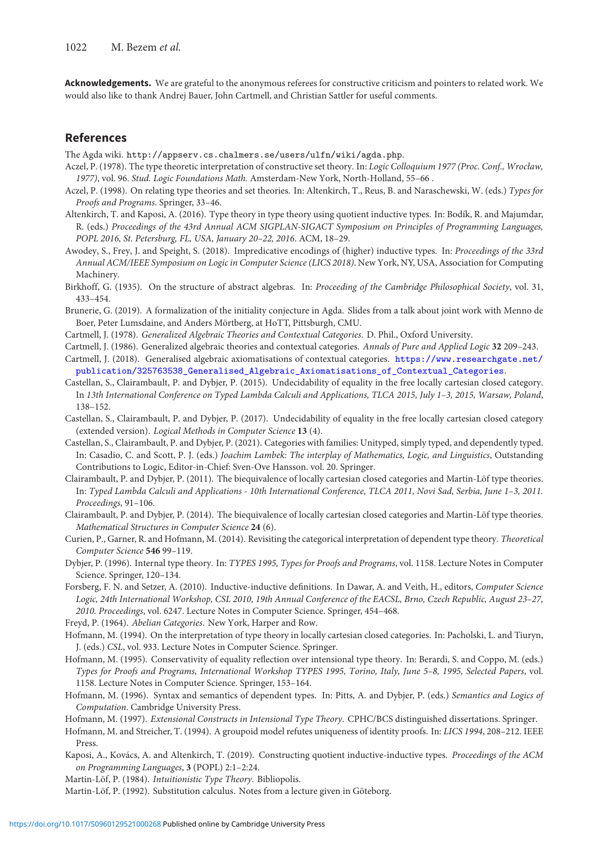**Acknowledgements.** We are grateful to the anonymous referees for constructive criticism and pointers to related work. We would also like to thank Andrej Bauer, John Cartmell, and Christian Sattler for useful comments.

## **References**

The Agda wiki. http://appserv.cs.chalmers.se/users/ulfn/wiki/agda.php.

- <span id="page-16-7"></span>Aczel, P. (1978). The type theoretic interpretation of constructive set theory. In: *Logic Colloquium 1977 (Proc. Conf., Wrocław, 1977)*, vol. 96. *Stud. Logic Foundations Math.* Amsterdam-New York, North-Holland, 55–66 .
- <span id="page-16-8"></span>Aczel, P. (1998). On relating type theories and set theories. In: Altenkirch, T., Reus, B. and Naraschewski, W. (eds.) *Types for Proofs and Programs*. Springer, 33–46.
- <span id="page-16-9"></span>Altenkirch, T. and Kaposi, A. (2016). Type theory in type theory using quotient inductive types. In: Bodík, R. and Majumdar, R. (eds.) *Proceedings of the 43rd Annual ACM SIGPLAN-SIGACT Symposium on Principles of Programming Languages, POPL 2016, St. Petersburg, FL, USA, January 20–22, 2016*. ACM, 18–29.
- <span id="page-16-16"></span>Awodey, S., Frey, J. and Speight, S. (2018). Impredicative encodings of (higher) inductive types. In: *Proceedings of the 33rd Annual ACM/IEEE Symposium on Logic in Computer Science (LICS 2018)*. New York, NY, USA, Association for Computing Machinery.
- <span id="page-16-17"></span>Birkhoff, G. (1935). On the structure of abstract algebras. In: *Proceeding of the Cambridge Philosophical Society*, vol. 31, 433–454.
- <span id="page-16-23"></span>Brunerie, G. (2019). A formalization of the initiality conjecture in Agda. Slides from a talk about joint work with Menno de Boer, Peter Lumsdaine, and Anders Mörtberg, at HoTT, Pittsburgh, CMU.
- <span id="page-16-2"></span>Cartmell, J. (1978). *Generalized Algebraic Theories and Contextual Categories*. D. Phil., Oxford University.
- <span id="page-16-3"></span>Cartmell, J. (1986). Generalized algebraic theories and contextual categories. *Annals of Pure and Applied Logic* **32** 209–243.
- <span id="page-16-22"></span>Cartmell, J. (2018). Generalised algebraic axiomatisations of contextual categories. [https://www.researchgate.net/](https://www.researchgate.net/publication/325763538_Generalised_Algebraic_Axiomatisations_of_Contextual_Categories) [publication/325763538\\_Generalised\\_Algebraic\\_Axiomatisations\\_of\\_Contextual\\_Categories](https://www.researchgate.net/publication/325763538_Generalised_Algebraic_Axiomatisations_of_Contextual_Categories).
- <span id="page-16-0"></span>Castellan, S., Clairambault, P. and Dybjer, P. (2015). Undecidability of equality in the free locally cartesian closed category. In *13th International Conference on Typed Lambda Calculi and Applications, TLCA 2015, July 1–3, 2015, Warsaw, Poland*, 138–152.
- <span id="page-16-1"></span>Castellan, S., Clairambault, P. and Dybjer, P. (2017). Undecidability of equality in the free locally cartesian closed category (extended version). *Logical Methods in Computer Science* **13** (4).
- <span id="page-16-21"></span>Castellan, S., Clairambault, P. and Dybjer, P. (2021). Categories with families: Unityped, simply typed, and dependently typed. In: Casadio, C. and Scott, P. J. (eds.) *Joachim Lambek: The interplay of Mathematics, Logic, and Linguistics*, Outstanding Contributions to Logic, Editor-in-Chief: Sven-Ove Hansson. vol. 20. Springer.
- <span id="page-16-18"></span>Clairambault, P. and Dybjer, P. (2011). The biequivalence of locally cartesian closed categories and Martin-Löf type theories. In: *Typed Lambda Calculi and Applications - 10th International Conference, TLCA 2011, Novi Sad, Serbia, June 1–3, 2011. Proceedings*, 91–106.
- <span id="page-16-19"></span>Clairambault, P. and Dybjer, P. (2014). The biequivalence of locally cartesian closed categories and Martin-Löf type theories. *Mathematical Structures in Computer Science* **24** (6).
- <span id="page-16-12"></span>Curien, P., Garner, R. and Hofmann, M. (2014). Revisiting the categorical interpretation of dependent type theory. *Theoretical Computer Science* **546** 99–119.
- <span id="page-16-4"></span>Dybjer, P. (1996). Internal type theory. In: *TYPES 1995, Types for Proofs and Programs*, vol. 1158. Lecture Notes in Computer Science. Springer, 120–134.
- <span id="page-16-24"></span>Forsberg, F. N. and Setzer, A. (2010). Inductive-inductive definitions. In Dawar, A. and Veith, H., editors, *Computer Science Logic, 24th International Workshop, CSL 2010, 19th Annual Conference of the EACSL, Brno, Czech Republic, August 23–27, 2010. Proceedings*, vol. 6247. Lecture Notes in Computer Science. Springer, 454–468.
- <span id="page-16-15"></span>Freyd, P. (1964). *Abelian Categories*. New York, Harper and Row.
- <span id="page-16-5"></span>Hofmann, M. (1994). On the interpretation of type theory in locally cartesian closed categories. In: Pacholski, L. and Tiuryn, J. (eds.) *CSL*, vol. 933. Lecture Notes in Computer Science. Springer.
- <span id="page-16-14"></span>Hofmann, M. (1995). Conservativity of equality reflection over intensional type theory. In: Berardi, S. and Coppo, M. (eds.) *Types for Proofs and Programs, International Workshop TYPES 1995, Torino, Italy, June 5–8, 1995, Selected Papers*, vol. 1158. Lecture Notes in Computer Science. Springer, 153–164.
- <span id="page-16-13"></span>Hofmann, M. (1996). Syntax and semantics of dependent types. In: Pitts, A. and Dybjer, P. (eds.) *Semantics and Logics of Computation*. Cambridge University Press.
- <span id="page-16-10"></span>Hofmann, M. (1997). *Extensional Constructs in Intensional Type Theory*. CPHC/BCS distinguished dissertations. Springer.
- <span id="page-16-11"></span>Hofmann, M. and Streicher, T. (1994). A groupoid model refutes uniqueness of identity proofs. In: *LICS 1994*, 208–212. IEEE Press.
- <span id="page-16-25"></span>Kaposi, A., Kovács, A. and Altenkirch, T. (2019). Constructing quotient inductive-inductive types. *Proceedings of the ACM on Programming Languages*, **3** (POPL) 2:1–2:24.

<span id="page-16-20"></span>Martin-Löf, P. (1984). *Intuitionistic Type Theory*. Bibliopolis.

<span id="page-16-6"></span>Martin-Löf, P. (1992). Substitution calculus. Notes from a lecture given in Göteborg.